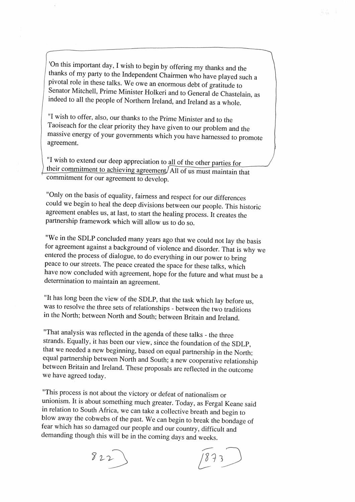$\bigg|$  'On this important day, I wish to begin by offering my thanks and the thanks of my party to the Independent Chairmen who have played such a pivotal role in these talks. We owe an enormous debt of gratitude to Senator Mitchell, Prime Minister Holkeri and to General de Chastelain, as indeed to all the people of Northern Ireland, and Ireland as a whole.

 $\overline{\phantom{iiiiiiiiiiiiiii}}$ 

I "I wish to offer, also, our thanks to the Prime Minister and to the Taoiseach for the clear priority they have given to our problem and the massive energy of your governments which you have harnessed to promote agreement.  $\sqrt{ }$ 

 $\parallel$  "I wish to extend our deep appreciation to all of the other parties for their commitment to achieving agreement/All of us must maintain that commitment for our agreement to develop.

I

"Only on the basis of equality, fairness and respect for our differences could we begin to heal the deep divisions between our people. This historic agreement enables us, at last, to start the healing process. It creates the partnership framework which will allow us to do so.

"We in the SDLP concluded many years ago that we could not lay the basis for agreement against a background of violence and disorder. That is why we entered the process of dialogue, to do everything in our power to bring peace to our streets. The peace created the space for these talks, which have now concluded with agreement, hope for the future and what must be a determination to maintain an agreement

"It has long been the view of the SDLP, that the task which lay before us, was to resolve the three sets of relationships - between the two traditions in the North; between North and South; between Britain and Ireland.

"That analysis was reflected in the agenda of these talks - the three strands. Equally, it has been our view, since the foundation of the SDLP, that we needed a new beginning, based on equal partnership in the North; equal partnership between North and South; a new cooperative relationship between Britain and Ireland. These proposals are reflected in the outcome we have agreed today.

"This process is not about the victory or defeat of nationalism or unionism. It is about something much greater. Today, as Fergal Keane said in relation to South Africa, we can take a collective breath and begin to blow away the cobwebs of the past. We can begin to break the bondage of fear which has so damaged our people and our country, difficult and demanding though this will be in the coming days and weeks.

 $822$ 

<sup>~</sup> *3 '15*